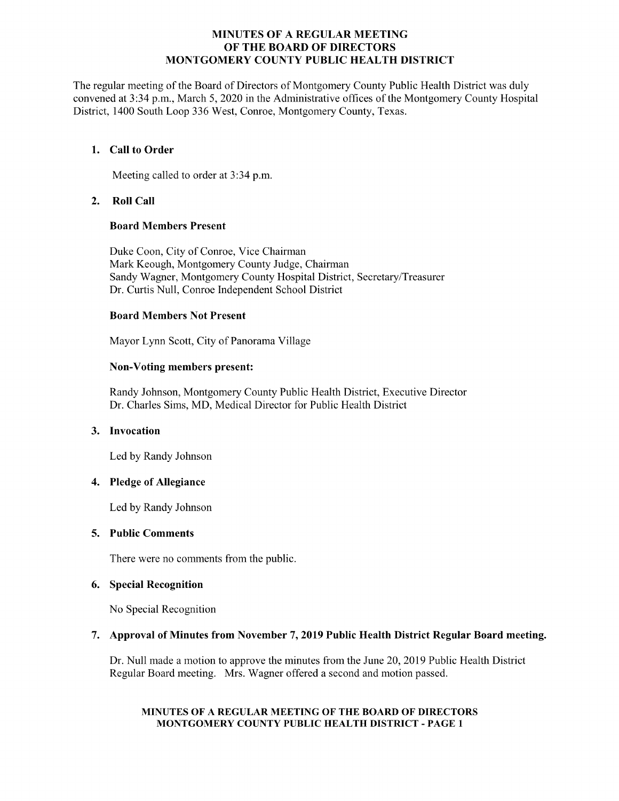### MINUTES OF A REGULAR MEETING OF THE BOARD OF DIRECTORS MONTGOMERY COUNTY PUBLIC HEALTH DISTRICT

The regular meeting of the Board of Directors of Montgomery County Public Health District was duly convened at 3:34 p.m., March 5, 2020 in the Administrative offices of the Montgomery County Hospital District, 1400 South Loop 336 West, Conroe, Montgomery County, Texas.

### 1. Call to Order

Meeting called to order at 3:34 p.m.

### 2. Roll Call

### Board Members Present

Duke Coon, City of Conroe, Vice Chairman Mark Keough, Montgomery County Judge, Chairman Sandy Wagner, Montgomery County Hospital District, Secretary/Treasurer Dr. Curtis Null, Conroe Independent School District

### Board Members Not Present

Mayor Lynn Scott, City of Panorama Village

# Non-Voting members present:

Randy Johnson, Montgomery County Public Health District, Executive Director Dr. Charles Sims, MD, Medical Director for Public Health District

### 3. Invocation

Led by Randy Johnson

### 4. Pledge of Allegiance

Led by Randy Johnson

### 5. Public Comments

There were no comments from the public.

# 6. Special Recognition

No Special Recognition

# 7. Approval of Minutes from November 7, 2019 Public Health District Regular Board meeting.

Dr. Null made a motion to approve the minutes from the June 20, 2019 Public Health District Regular Board meeting. Mrs. Wagner offered a second and motion passed.

#### MINUTES OF A REGULAR MEETING OF THE BOARD OF DIRECTORS MONTGOMERY COUNTY PUBLIC HEALTH DISTRICT - PAGE 1